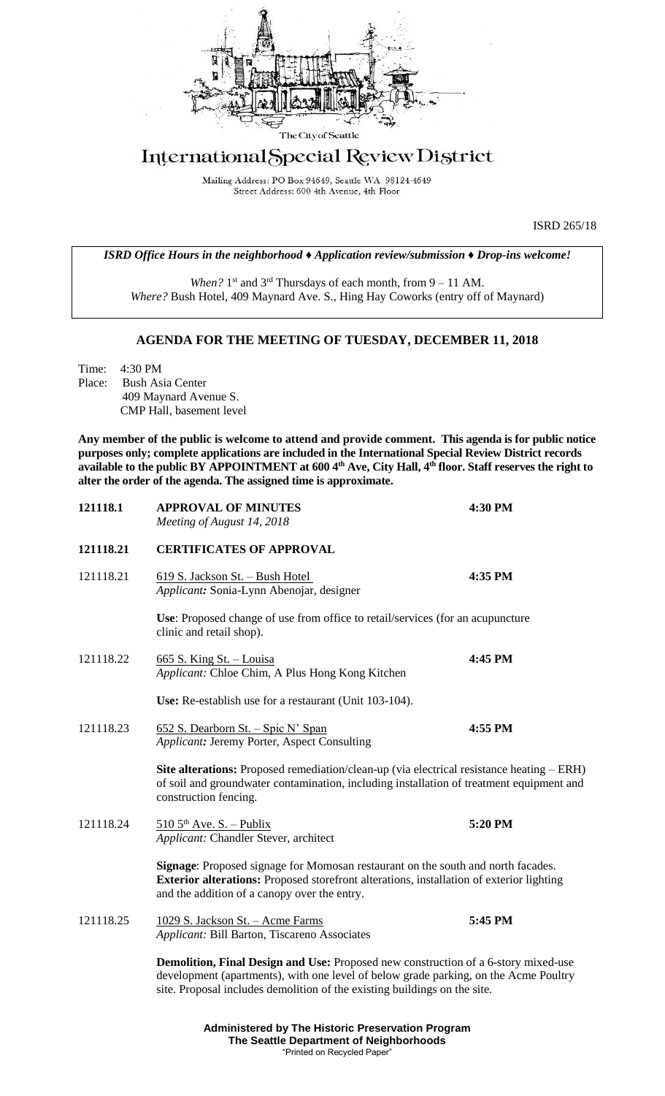

# International Special Review District

Mailing Address: PO Box 94649, Seattle WA 98124-4649 Street Address: 600 4th Avenue, 4th Floor

ISRD 265/18

*ISRD Office Hours in the neighborhood ♦ Application review/submission ♦ Drop-ins welcome!*

When? 1<sup>st</sup> and 3<sup>rd</sup> Thursdays of each month, from 9 – 11 AM. *Where?* Bush Hotel, 409 Maynard Ave. S., Hing Hay Coworks (entry off of Maynard)

## **AGENDA FOR THE MEETING OF TUESDAY, DECEMBER 11, 2018**

Time: 4:30 PM Place: Bush Asia Center 409 Maynard Avenue S. CMP Hall, basement level

**Any member of the public is welcome to attend and provide comment. This agenda is for public notice purposes only; complete applications are included in the International Special Review District records available to the public BY APPOINTMENT at 600 4th Ave, City Hall, 4th floor. Staff reserves the right to alter the order of the agenda. The assigned time is approximate.** 

| 121118.1  | <b>APPROVAL OF MINUTES</b><br>Meeting of August 14, 2018                                                                                                                                                                                                       | 4:30 PM |
|-----------|----------------------------------------------------------------------------------------------------------------------------------------------------------------------------------------------------------------------------------------------------------------|---------|
| 121118.21 | <b>CERTIFICATES OF APPROVAL</b>                                                                                                                                                                                                                                |         |
| 121118.21 | 619 S. Jackson St. - Bush Hotel<br>Applicant: Sonia-Lynn Abenojar, designer                                                                                                                                                                                    | 4:35 PM |
|           | Use: Proposed change of use from office to retail/services (for an acupuncture<br>clinic and retail shop).                                                                                                                                                     |         |
| 121118.22 | 665 S. King St. - Louisa<br>Applicant: Chloe Chim, A Plus Hong Kong Kitchen                                                                                                                                                                                    | 4:45 PM |
|           | Use: Re-establish use for a restaurant (Unit 103-104).                                                                                                                                                                                                         |         |
| 121118.23 | 652 S. Dearborn St. - Spic N' Span<br>Applicant: Jeremy Porter, Aspect Consulting                                                                                                                                                                              | 4:55 PM |
|           | Site alterations: Proposed remediation/clean-up (via electrical resistance heating - ERH)<br>of soil and groundwater contamination, including installation of treatment equipment and<br>construction fencing.                                                 |         |
| 121118.24 | $5105^{\text{th}}$ Ave. S. - Publix<br>Applicant: Chandler Stever, architect                                                                                                                                                                                   | 5:20 PM |
|           | Signage: Proposed signage for Momosan restaurant on the south and north facades.<br>Exterior alterations: Proposed storefront alterations, installation of exterior lighting<br>and the addition of a canopy over the entry.                                   |         |
| 121118.25 | 1029 S. Jackson St. - Acme Farms<br>Applicant: Bill Barton, Tiscareno Associates                                                                                                                                                                               | 5:45 PM |
|           | <b>Demolition, Final Design and Use:</b> Proposed new construction of a 6-story mixed-use<br>development (apartments), with one level of below grade parking, on the Acme Poultry<br>site. Proposal includes demolition of the existing buildings on the site. |         |